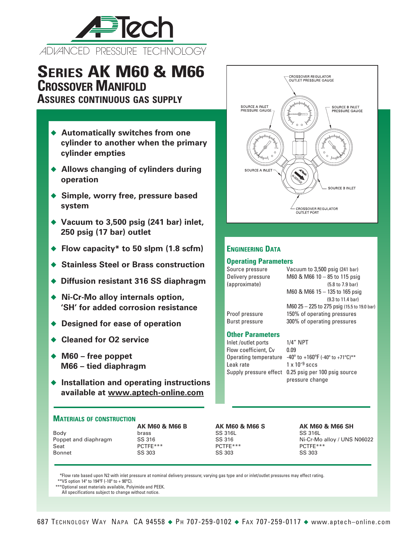

# **Series AK M60 & M66 Crossover Manifold**

**Assures continuous gas supply**

- ◆ Automatically switches from one **cylinder to another when the primary cylinder empties**
- ◆ Allows changing of cylinders during **operation**
- ◆ Simple, worry free, pressure based **system**
- ◆ Vacuum to 3,500 psig (241 bar) inlet, **250 psig (17 bar) outlet**
- ◆ Flow capacity<sup>\*</sup> to 50 slpm (1.8 scfm)
- ◆ Stainless Steel or Brass construction
- ◆ Diffusion resistant 316 SS diaphragm
- ◆ Ni-Cr-Mo alloy internals option, **'SH' for added corrosion resistance**
- ◆ Designed for ease of operation
- ◆ Cleaned for O<sub>2</sub> service
- ◆ M60 free poppet **M66 – tied diaphragm**
- ◆ Installation and operating instructions **available at www.aptech-online.com**

### **Materials of construction**

|                      | AN IVIOU & IVIOD B | AN IVIDU QUIVIDD J | <b>AN IVIDU</b> |
|----------------------|--------------------|--------------------|-----------------|
| Body                 | brass              | SS 316L            | SS 316L         |
| Poppet and diaphragm | SS 316             | SS 316             | Ni-Cr-Mo        |
| Seat                 | $PCTFF***$         | $PCTFF***$         | $PCTFF***$      |
| Bonnet               | SS 303             | SS 303             | SS 303          |
|                      |                    |                    |                 |

**AK M60 & M66 B AK M60 & M66 S AK M60 & M66 SH** SS 316 SS 316 Ni-Cr-Mo alloy / UNS N06022<br>
POTFE\*\*\* POTFE\*\*\* POTFET POTFE\*\*\*

\*Flow rate based upon N2 with inlet pressure at nominal delivery pressure; varying gas type and or inlet/outlet pressures may effect rating. \*\* VS option 14° to 194°F (-10° to + 90°C).

\*\*\*Optional seat materials available, Polyimide and PEEK.

All specifications subject to change without notice.



## **Engineering Data**

## **Operating Parameters**

Source pressure Vacuum to 3,500 psig (241 bar) Delivery pressure M60 & M66  $10 - 85$  to 115 psig (approximate) (5.8 to 7.9 bar) M60 & M66 15 – 135 to 165 psig (9.3 to 11.4 bar) M60 25 – 225 to 275 psig (15.5 to 19.0 bar) Proof pressure 150% of operating pressures Burst pressure 300% of operating pressures **Other Parameters** Inlet /outlet ports 1/4" NPT

Flow coefficient, Cv 0.09 Leak rate  $1 \times 10^{-9}$  sccs

Operating temperature  $-40^\circ$  to  $+160^\circ$ F (-40 $^\circ$  to  $+71^\circ$ C)\*\* Supply pressure effect 0.25 psig per 100 psig source pressure change